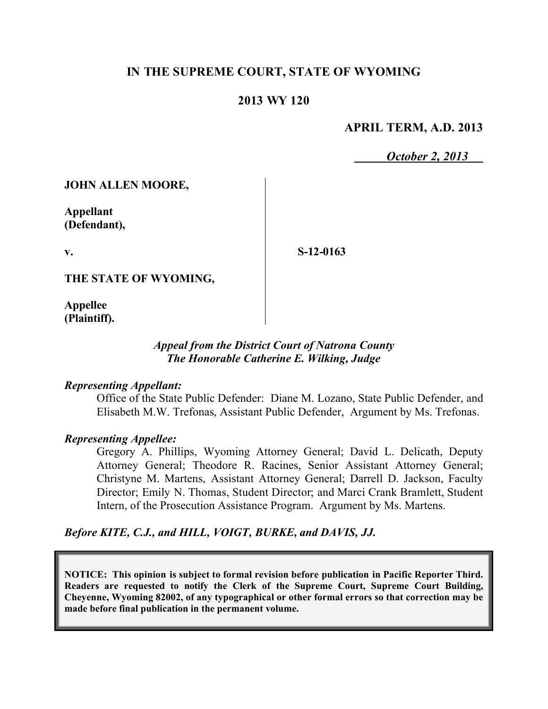# **IN THE SUPREME COURT, STATE OF WYOMING**

## **2013 WY 120**

### **APRIL TERM, A.D. 2013**

*October 2, 2013*

**JOHN ALLEN MOORE,**

**Appellant (Defendant),**

**v.**

**S-12-0163**

**THE STATE OF WYOMING,**

**Appellee (Plaintiff).**

## *Appeal from the District Court of Natrona County The Honorable Catherine E. Wilking, Judge*

#### *Representing Appellant:*

Office of the State Public Defender: Diane M. Lozano, State Public Defender, and Elisabeth M.W. Trefonas, Assistant Public Defender, Argument by Ms. Trefonas.

#### *Representing Appellee:*

Gregory A. Phillips, Wyoming Attorney General; David L. Delicath, Deputy Attorney General; Theodore R. Racines, Senior Assistant Attorney General; Christyne M. Martens, Assistant Attorney General; Darrell D. Jackson, Faculty Director; Emily N. Thomas, Student Director; and Marci Crank Bramlett, Student Intern, of the Prosecution Assistance Program. Argument by Ms. Martens.

*Before KITE, C.J., and HILL, VOIGT, BURKE, and DAVIS, JJ.*

**NOTICE: This opinion is subject to formal revision before publication in Pacific Reporter Third. Readers are requested to notify the Clerk of the Supreme Court, Supreme Court Building, Cheyenne, Wyoming 82002, of any typographical or other formal errors so that correction may be made before final publication in the permanent volume.**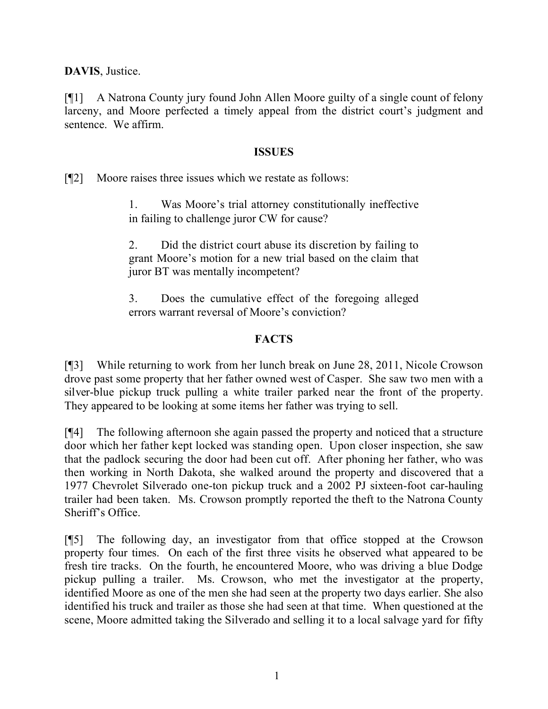**DAVIS**, Justice.

[¶1] A Natrona County jury found John Allen Moore guilty of a single count of felony larceny, and Moore perfected a timely appeal from the district court's judgment and sentence. We affirm.

### **ISSUES**

[¶2] Moore raises three issues which we restate as follows:

1. Was Moore's trial attorney constitutionally ineffective in failing to challenge juror CW for cause?

2. Did the district court abuse its discretion by failing to grant Moore's motion for a new trial based on the claim that juror BT was mentally incompetent?

3. Does the cumulative effect of the foregoing alleged errors warrant reversal of Moore's conviction?

# **FACTS**

[¶3] While returning to work from her lunch break on June 28, 2011, Nicole Crowson drove past some property that her father owned west of Casper. She saw two men with a silver-blue pickup truck pulling a white trailer parked near the front of the property. They appeared to be looking at some items her father was trying to sell.

[¶4] The following afternoon she again passed the property and noticed that a structure door which her father kept locked was standing open. Upon closer inspection, she saw that the padlock securing the door had been cut off. After phoning her father, who was then working in North Dakota, she walked around the property and discovered that a 1977 Chevrolet Silverado one-ton pickup truck and a 2002 PJ sixteen-foot car-hauling trailer had been taken. Ms. Crowson promptly reported the theft to the Natrona County Sheriff's Office.

[¶5] The following day, an investigator from that office stopped at the Crowson property four times. On each of the first three visits he observed what appeared to be fresh tire tracks. On the fourth, he encountered Moore, who was driving a blue Dodge pickup pulling a trailer. Ms. Crowson, who met the investigator at the property, identified Moore as one of the men she had seen at the property two days earlier. She also identified his truck and trailer as those she had seen at that time. When questioned at the scene, Moore admitted taking the Silverado and selling it to a local salvage yard for fifty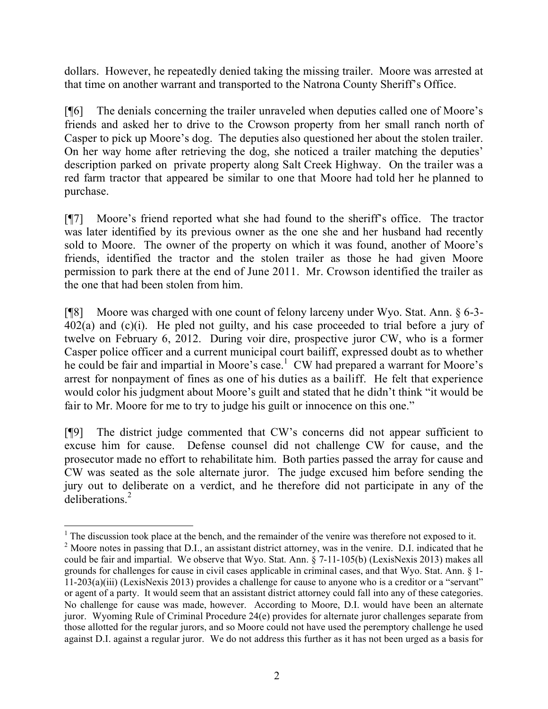dollars. However, he repeatedly denied taking the missing trailer. Moore was arrested at that time on another warrant and transported to the Natrona County Sheriff's Office.

[¶6] The denials concerning the trailer unraveled when deputies called one of Moore's friends and asked her to drive to the Crowson property from her small ranch north of Casper to pick up Moore's dog. The deputies also questioned her about the stolen trailer. On her way home after retrieving the dog, she noticed a trailer matching the deputies' description parked on private property along Salt Creek Highway. On the trailer was a red farm tractor that appeared be similar to one that Moore had told her he planned to purchase.

[¶7] Moore's friend reported what she had found to the sheriff's office. The tractor was later identified by its previous owner as the one she and her husband had recently sold to Moore. The owner of the property on which it was found, another of Moore's friends, identified the tractor and the stolen trailer as those he had given Moore permission to park there at the end of June 2011. Mr. Crowson identified the trailer as the one that had been stolen from him.

[¶8] Moore was charged with one count of felony larceny under Wyo. Stat. Ann. § 6-3- 402(a) and (c)(i). He pled not guilty, and his case proceeded to trial before a jury of twelve on February 6, 2012. During voir dire, prospective juror CW, who is a former Casper police officer and a current municipal court bailiff, expressed doubt as to whether he could be fair and impartial in Moore's case.<sup>1</sup> CW had prepared a warrant for Moore's arrest for nonpayment of fines as one of his duties as a bailiff. He felt that experience would color his judgment about Moore's guilt and stated that he didn't think "it would be fair to Mr. Moore for me to try to judge his guilt or innocence on this one."

[¶9] The district judge commented that CW's concerns did not appear sufficient to excuse him for cause. Defense counsel did not challenge CW for cause, and the prosecutor made no effort to rehabilitate him. Both parties passed the array for cause and CW was seated as the sole alternate juror. The judge excused him before sending the jury out to deliberate on a verdict, and he therefore did not participate in any of the deliberations<sup>2</sup>

  $1$ . The discussion took place at the bench, and the remainder of the venire was therefore not exposed to it. <sup>2</sup> Moore notes in passing that D.I., an assistant district attorney, was in the venire. D.I. indicated that he could be fair and impartial. We observe that Wyo. Stat. Ann. § 7-11-105(b) (LexisNexis 2013) makes all grounds for challenges for cause in civil cases applicable in criminal cases, and that Wyo. Stat. Ann. § 1- 11-203(a)(iii) (LexisNexis 2013) provides a challenge for cause to anyone who is a creditor or a "servant" or agent of a party. It would seem that an assistant district attorney could fall into any of these categories. No challenge for cause was made, however. According to Moore, D.I. would have been an alternate juror. Wyoming Rule of Criminal Procedure 24(e) provides for alternate juror challenges separate from those allotted for the regular jurors, and so Moore could not have used the peremptory challenge he used against D.I. against a regular juror. We do not address this further as it has not been urged as a basis for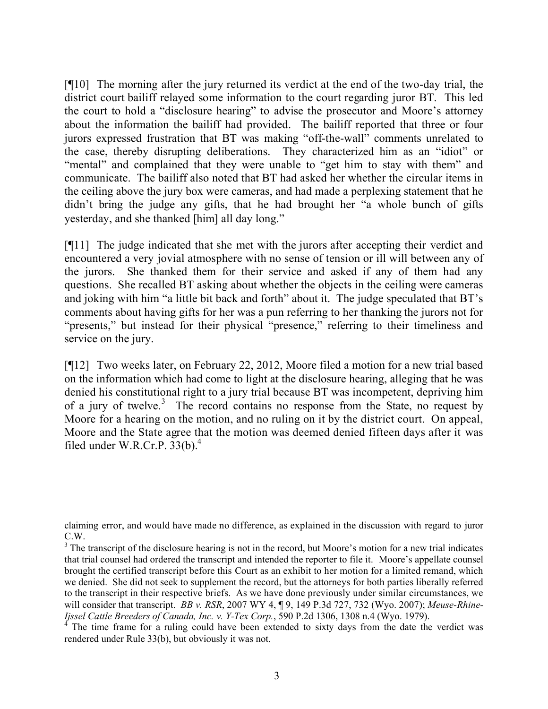[¶10] The morning after the jury returned its verdict at the end of the two-day trial, the district court bailiff relayed some information to the court regarding juror BT. This led the court to hold a "disclosure hearing" to advise the prosecutor and Moore's attorney about the information the bailiff had provided. The bailiff reported that three or four jurors expressed frustration that BT was making "off-the-wall" comments unrelated to the case, thereby disrupting deliberations. They characterized him as an "idiot" or "mental" and complained that they were unable to "get him to stay with them" and communicate. The bailiff also noted that BT had asked her whether the circular items in the ceiling above the jury box were cameras, and had made a perplexing statement that he didn't bring the judge any gifts, that he had brought her "a whole bunch of gifts yesterday, and she thanked [him] all day long."

[¶11] The judge indicated that she met with the jurors after accepting their verdict and encountered a very jovial atmosphere with no sense of tension or ill will between any of the jurors. She thanked them for their service and asked if any of them had any questions. She recalled BT asking about whether the objects in the ceiling were cameras and joking with him "a little bit back and forth" about it. The judge speculated that BT's comments about having gifts for her was a pun referring to her thanking the jurors not for "presents," but instead for their physical "presence," referring to their timeliness and service on the jury.

[¶12] Two weeks later, on February 22, 2012, Moore filed a motion for a new trial based on the information which had come to light at the disclosure hearing, alleging that he was denied his constitutional right to a jury trial because BT was incompetent, depriving him of a jury of twelve.<sup>3</sup> The record contains no response from the State, no request by Moore for a hearing on the motion, and no ruling on it by the district court. On appeal, Moore and the State agree that the motion was deemed denied fifteen days after it was filed under W.R.Cr.P.  $33(b)$ .<sup>4</sup>

claiming error, and would have made no difference, as explained in the discussion with regard to juror C.W.

<sup>&</sup>lt;sup>3</sup> The transcript of the disclosure hearing is not in the record, but Moore's motion for a new trial indicates that trial counsel had ordered the transcript and intended the reporter to file it. Moore's appellate counsel brought the certified transcript before this Court as an exhibit to her motion for a limited remand, which we denied. She did not seek to supplement the record, but the attorneys for both parties liberally referred to the transcript in their respective briefs. As we have done previously under similar circumstances, we will consider that transcript. *BB v. RSR*, 2007 WY 4, ¶ 9, 149 P.3d 727, 732 (Wyo. 2007); *Meuse-Rhine-Ijssel Cattle Breeders of Canada, Inc. v. Y-Tex Corp.*, 590 P.2d 1306, 1308 n.4 (Wyo. 1979).<br><sup>4</sup> The time frame for a malinear in the state of the state of the state of the state of the state of the state of the state

The time frame for a ruling could have been extended to sixty days from the date the verdict was rendered under Rule 33(b), but obviously it was not.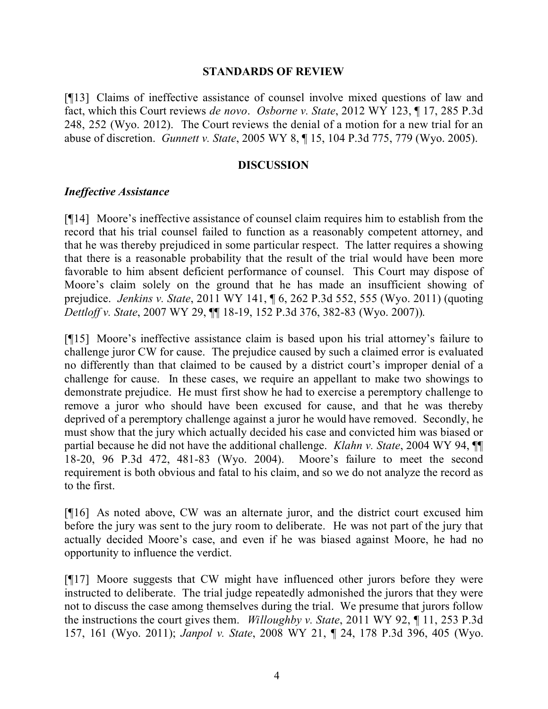#### **STANDARDS OF REVIEW**

[¶13] Claims of ineffective assistance of counsel involve mixed questions of law and fact, which this Court reviews *de novo*. *Osborne v. State*, 2012 WY 123, ¶ 17, 285 P.3d 248, 252 (Wyo. 2012). The Court reviews the denial of a motion for a new trial for an abuse of discretion. *Gunnett v. State*, 2005 WY 8, ¶ 15, 104 P.3d 775, 779 (Wyo. 2005).

### **DISCUSSION**

### *Ineffective Assistance*

[¶14] Moore's ineffective assistance of counsel claim requires him to establish from the record that his trial counsel failed to function as a reasonably competent attorney, and that he was thereby prejudiced in some particular respect. The latter requires a showing that there is a reasonable probability that the result of the trial would have been more favorable to him absent deficient performance of counsel. This Court may dispose of Moore's claim solely on the ground that he has made an insufficient showing of prejudice. *Jenkins v. State*, 2011 WY 141, ¶ 6, 262 P.3d 552, 555 (Wyo. 2011) (quoting *Dettloff v. State*, 2007 WY 29, ¶¶ 18-19, 152 P.3d 376, 382-83 (Wyo. 2007)).

[¶15] Moore's ineffective assistance claim is based upon his trial attorney's failure to challenge juror CW for cause. The prejudice caused by such a claimed error is evaluated no differently than that claimed to be caused by a district court's improper denial of a challenge for cause. In these cases, we require an appellant to make two showings to demonstrate prejudice. He must first show he had to exercise a peremptory challenge to remove a juror who should have been excused for cause, and that he was thereby deprived of a peremptory challenge against a juror he would have removed. Secondly, he must show that the jury which actually decided his case and convicted him was biased or partial because he did not have the additional challenge. *Klahn v. State*, 2004 WY 94, ¶¶ 18-20, 96 P.3d 472, 481-83 (Wyo. 2004). Moore's failure to meet the second requirement is both obvious and fatal to his claim, and so we do not analyze the record as to the first.

[¶16] As noted above, CW was an alternate juror, and the district court excused him before the jury was sent to the jury room to deliberate. He was not part of the jury that actually decided Moore's case, and even if he was biased against Moore, he had no opportunity to influence the verdict.

[¶17] Moore suggests that CW might have influenced other jurors before they were instructed to deliberate. The trial judge repeatedly admonished the jurors that they were not to discuss the case among themselves during the trial. We presume that jurors follow the instructions the court gives them. *Willoughby v. State*, 2011 WY 92, ¶ 11, 253 P.3d 157, 161 (Wyo. 2011); *Janpol v. State*, 2008 WY 21, ¶ 24, 178 P.3d 396, 405 (Wyo.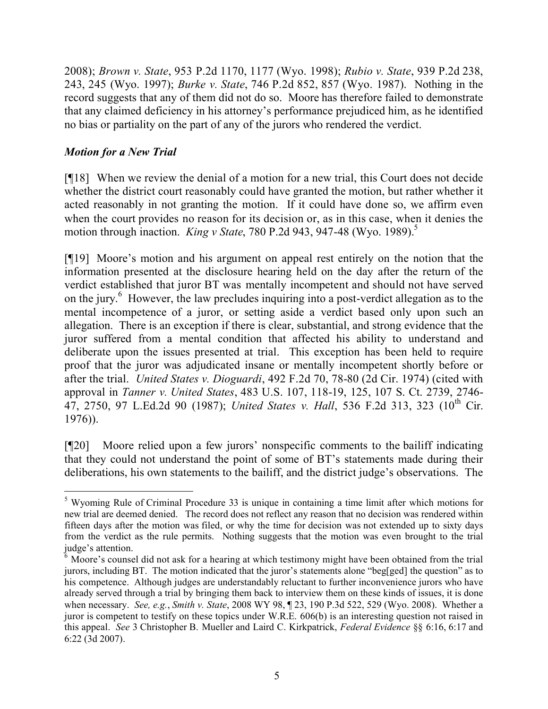2008); *Brown v. State*, 953 P.2d 1170, 1177 (Wyo. 1998); *Rubio v. State*, 939 P.2d 238, 243, 245 (Wyo. 1997); *Burke v. State*, 746 P.2d 852, 857 (Wyo. 1987). Nothing in the record suggests that any of them did not do so. Moore has therefore failed to demonstrate that any claimed deficiency in his attorney's performance prejudiced him, as he identified no bias or partiality on the part of any of the jurors who rendered the verdict.

# *Motion for a New Trial*

[¶18] When we review the denial of a motion for a new trial, this Court does not decide whether the district court reasonably could have granted the motion, but rather whether it acted reasonably in not granting the motion. If it could have done so, we affirm even when the court provides no reason for its decision or, as in this case, when it denies the motion through inaction. *King v State*, 780 P.2d 943, 947-48 (Wyo. 1989).<sup>5</sup>

[¶19] Moore's motion and his argument on appeal rest entirely on the notion that the information presented at the disclosure hearing held on the day after the return of the verdict established that juror BT was mentally incompetent and should not have served on the jury.<sup>6</sup> However, the law precludes inquiring into a post-verdict allegation as to the mental incompetence of a juror, or setting aside a verdict based only upon such an allegation. There is an exception if there is clear, substantial, and strong evidence that the juror suffered from a mental condition that affected his ability to understand and deliberate upon the issues presented at trial. This exception has been held to require proof that the juror was adjudicated insane or mentally incompetent shortly before or after the trial. *United States v. Dioguardi*, 492 F.2d 70, 78-80 (2d Cir. 1974) (cited with approval in *Tanner v. United States*, 483 U.S. 107, 118-19, 125, 107 S. Ct. 2739, 2746- 47, 2750, 97 L.Ed.2d 90 (1987); *United States v. Hall*, 536 F.2d 313, 323 (10<sup>th</sup> Cir. 1976)).

[¶20] Moore relied upon a few jurors' nonspecific comments to the bailiff indicating that they could not understand the point of some of BT's statements made during their deliberations, his own statements to the bailiff, and the district judge's observations. The

 <sup>5</sup> Wyoming Rule of Criminal Procedure 33 is unique in containing a time limit after which motions for new trial are deemed denied. The record does not reflect any reason that no decision was rendered within fifteen days after the motion was filed, or why the time for decision was not extended up to sixty days from the verdict as the rule permits. Nothing suggests that the motion was even brought to the trial judge's attention.

<sup>&</sup>lt;sup>6</sup> Moore's counsel did not ask for a hearing at which testimony might have been obtained from the trial jurors, including BT. The motion indicated that the juror's statements alone "beg[ged] the question" as to his competence. Although judges are understandably reluctant to further inconvenience jurors who have already served through a trial by bringing them back to interview them on these kinds of issues, it is done when necessary. *See, e.g.*, *Smith v. State*, 2008 WY 98, ¶ 23, 190 P.3d 522, 529 (Wyo. 2008). Whether a juror is competent to testify on these topics under W.R.E. 606(b) is an interesting question not raised in this appeal. *See* 3 Christopher B. Mueller and Laird C. Kirkpatrick, *Federal Evidence* §§ 6:16, 6:17 and 6:22 (3d 2007).